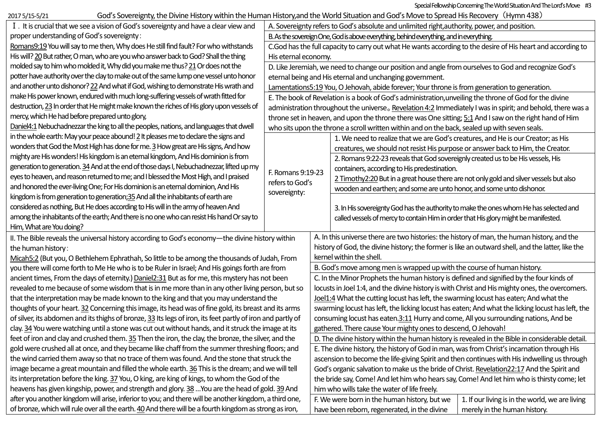Special Fellowship Concerning The World Situation And The Lord's Move #3

God's Sovereignty, the Divine History within the Human History,and the World Situation and God's Move to Spread His Recovery (Hymn 438)

| 2017 5/15-5/21                                                                                              | God's Sovereignty, the Divine History within the Human History, and the World Situation and God's Move to Spread His Recovery (Hymn 438)                                                                                                                                                |                                                                                                              |                                                                                                   |                                                                                                   |                                                 |  |  |
|-------------------------------------------------------------------------------------------------------------|-----------------------------------------------------------------------------------------------------------------------------------------------------------------------------------------------------------------------------------------------------------------------------------------|--------------------------------------------------------------------------------------------------------------|---------------------------------------------------------------------------------------------------|---------------------------------------------------------------------------------------------------|-------------------------------------------------|--|--|
|                                                                                                             | I. It is crucial that we see a vision of God's sovereignty and have a clear view and                                                                                                                                                                                                    |                                                                                                              | A. Sovereignty refers to God's absolute and unlimited right, authority, power, and position.      |                                                                                                   |                                                 |  |  |
| proper understanding of God's sovereignty:                                                                  |                                                                                                                                                                                                                                                                                         | B. As the sovereign One, God is above everything, behind everything, and in everything.                      |                                                                                                   |                                                                                                   |                                                 |  |  |
| Romans9:19 You will say to me then, Why does He still find fault? For who withstands                        |                                                                                                                                                                                                                                                                                         | C.God has the full capacity to carry out what He wants according to the desire of His heart and according to |                                                                                                   |                                                                                                   |                                                 |  |  |
| His will? 20 But rather, O man, who are you who answer back to God? Shall the thing                         |                                                                                                                                                                                                                                                                                         | His eternal economy.                                                                                         |                                                                                                   |                                                                                                   |                                                 |  |  |
| molded say to him who molded it, Why did you make me thus? 21 Or does not the                               |                                                                                                                                                                                                                                                                                         | D. Like Jeremiah, we need to change our position and angle from ourselves to God and recognize God's         |                                                                                                   |                                                                                                   |                                                 |  |  |
| potter have authority over the clay to make out of the same lump one vessel unto honor                      |                                                                                                                                                                                                                                                                                         | eternal being and His eternal and unchanging government.                                                     |                                                                                                   |                                                                                                   |                                                 |  |  |
| and another unto dishonor? 22 And what if God, wishing to demonstrate His wrath and                         |                                                                                                                                                                                                                                                                                         | Lamentations5:19 You, O Jehovah, abide forever; Your throne is from generation to generation.                |                                                                                                   |                                                                                                   |                                                 |  |  |
| make His power known, endured with much long-suffering vessels of wrath fitted for                          |                                                                                                                                                                                                                                                                                         | E. The book of Revelation is a book of God's administration, unveiling the throne of God for the divine      |                                                                                                   |                                                                                                   |                                                 |  |  |
| destruction, 23 In order that He might make known the riches of His glory upon vessels of                   |                                                                                                                                                                                                                                                                                         | administration throughout the universe. Revelation 4:2 Immediately I was in spirit; and behold, there was a  |                                                                                                   |                                                                                                   |                                                 |  |  |
| mercy, which He had before prepared unto glory,                                                             |                                                                                                                                                                                                                                                                                         | throne set in heaven, and upon the throne there was One sitting; 5:1 And I saw on the right hand of Him      |                                                                                                   |                                                                                                   |                                                 |  |  |
| Daniel4:1 Nebuchadnezzar the king to all the peoples, nations, and languages that dwell                     |                                                                                                                                                                                                                                                                                         | who sits upon the throne a scroll written within and on the back, sealed up with seven seals.                |                                                                                                   |                                                                                                   |                                                 |  |  |
| in the whole earth: May your peace abound! $2$ It pleases me to declare the signs and                       |                                                                                                                                                                                                                                                                                         |                                                                                                              | 1. We need to realize that we are God's creatures, and He is our Creator; as His                  |                                                                                                   |                                                 |  |  |
|                                                                                                             | wonders that God the Most High has done for me. 3 How great are His signs, And how                                                                                                                                                                                                      |                                                                                                              |                                                                                                   | creatures, we should not resist His purpose or answer back to Him, the Creator.                   |                                                 |  |  |
| mighty are His wonders! His kingdom is an eternal kingdom, And His dominion is from                         |                                                                                                                                                                                                                                                                                         |                                                                                                              | 2. Romans 9:22-23 reveals that God sovereignly created us to be His vessels, His                  |                                                                                                   |                                                 |  |  |
|                                                                                                             | generation to generation. 34 And at the end of those days I, Nebuchadnezzar, lifted up my<br>eyes to heaven, and reason returned to me; and I blessed the Most High, and I praised<br>and honored the ever-living One; For His dominion is an eternal dominion, And His<br>sovereignty: |                                                                                                              | F. Romans 9:19-23                                                                                 | containers, according to His predestination.                                                      |                                                 |  |  |
|                                                                                                             |                                                                                                                                                                                                                                                                                         |                                                                                                              | refers to God's                                                                                   | 2 Timothy2:20 But in a great house there are not only gold and silver vessels but also            |                                                 |  |  |
|                                                                                                             |                                                                                                                                                                                                                                                                                         |                                                                                                              |                                                                                                   | wooden and earthen; and some are unto honor, and some unto dishonor.                              |                                                 |  |  |
|                                                                                                             | kingdom is from generation to generation;35 And all the inhabitants of earth are                                                                                                                                                                                                        |                                                                                                              |                                                                                                   |                                                                                                   |                                                 |  |  |
|                                                                                                             | considered as nothing, But He does according to His will in the army of heaven And                                                                                                                                                                                                      |                                                                                                              |                                                                                                   | 3. In His sovereignty God has the authority to make the ones whom He has selected and             |                                                 |  |  |
|                                                                                                             | among the inhabitants of the earth; And there is no one who can resist His hand Or say to                                                                                                                                                                                               |                                                                                                              |                                                                                                   | called vessels of mercy to contain Him in order that His glory might be manifested.               |                                                 |  |  |
| Him, What are You doing?                                                                                    |                                                                                                                                                                                                                                                                                         |                                                                                                              |                                                                                                   |                                                                                                   |                                                 |  |  |
| II. The Bible reveals the universal history according to God's economy-the divine history within            |                                                                                                                                                                                                                                                                                         |                                                                                                              | A. In this universe there are two histories: the history of man, the human history, and the       |                                                                                                   |                                                 |  |  |
| the human history:                                                                                          |                                                                                                                                                                                                                                                                                         |                                                                                                              | history of God, the divine history; the former is like an outward shell, and the latter, like the |                                                                                                   |                                                 |  |  |
|                                                                                                             | Micah5:2 (But you, O Bethlehem Ephrathah, So little to be among the thousands of Judah, From                                                                                                                                                                                            |                                                                                                              | kernel within the shell.                                                                          |                                                                                                   |                                                 |  |  |
| you there will come forth to Me He who is to be Ruler in Israel; And His goings forth are from              |                                                                                                                                                                                                                                                                                         |                                                                                                              | B. God's move among men is wrapped up with the course of human history.                           |                                                                                                   |                                                 |  |  |
| ancient times, From the days of eternity.) Daniel2:31 But as for me, this mystery has not been              |                                                                                                                                                                                                                                                                                         |                                                                                                              | C. In the Minor Prophets the human history is defined and signified by the four kinds of          |                                                                                                   |                                                 |  |  |
| revealed to me because of some wisdom that is in me more than in any other living person, but so            |                                                                                                                                                                                                                                                                                         |                                                                                                              |                                                                                                   | locusts in Joel 1:4, and the divine history is with Christ and His mighty ones, the overcomers.   |                                                 |  |  |
| that the interpretation may be made known to the king and that you may understand the                       |                                                                                                                                                                                                                                                                                         |                                                                                                              |                                                                                                   | Joel1:4 What the cutting locust has left, the swarming locust has eaten; And what the             |                                                 |  |  |
| thoughts of your heart. 32 Concerning this image, its head was of fine gold, its breast and its arms        |                                                                                                                                                                                                                                                                                         |                                                                                                              |                                                                                                   | swarming locust has left, the licking locust has eaten; And what the licking locust has left, the |                                                 |  |  |
| of silver, its abdomen and its thighs of bronze, 33 Its legs of iron, its feet partly of iron and partly of |                                                                                                                                                                                                                                                                                         |                                                                                                              | consuming locust has eaten.3:11 Hurry and come, All you surrounding nations, And be               |                                                                                                   |                                                 |  |  |
| clay. 34 You were watching until a stone was cut out without hands, and it struck the image at its          |                                                                                                                                                                                                                                                                                         |                                                                                                              | gathered. There cause Your mighty ones to descend, O Jehovah!                                     |                                                                                                   |                                                 |  |  |
| feet of iron and clay and crushed them. 35 Then the iron, the clay, the bronze, the silver, and the         |                                                                                                                                                                                                                                                                                         |                                                                                                              | D. The divine history within the human history is revealed in the Bible in considerable detail.   |                                                                                                   |                                                 |  |  |
| gold were crushed all at once, and they became like chaff from the summer threshing floors; and             |                                                                                                                                                                                                                                                                                         |                                                                                                              | E. The divine history, the history of God in man, was from Christ's incarnation through His       |                                                                                                   |                                                 |  |  |
| the wind carried them away so that no trace of them was found. And the stone that struck the                |                                                                                                                                                                                                                                                                                         |                                                                                                              |                                                                                                   | ascension to become the life-giving Spirit and then continues with His indwelling us through      |                                                 |  |  |
| image became a great mountain and filled the whole earth. 36 This is the dream; and we will tell            |                                                                                                                                                                                                                                                                                         |                                                                                                              |                                                                                                   | God's organic salvation to make us the bride of Christ. Revelation22:17 And the Spirit and        |                                                 |  |  |
| its interpretation before the king. 37 You, O king, are king of kings, to whom the God of the               |                                                                                                                                                                                                                                                                                         |                                                                                                              |                                                                                                   | the bride say, Come! And let him who hears say, Come! And let him who is thirsty come; let        |                                                 |  |  |
| heavens has given kingship, power, and strength and glory. 38  You are the head of gold. 39 And             |                                                                                                                                                                                                                                                                                         |                                                                                                              |                                                                                                   | him who wills take the water of life freely.                                                      |                                                 |  |  |
| after you another kingdom will arise, inferior to you; and there will be another kingdom, a third one,      |                                                                                                                                                                                                                                                                                         |                                                                                                              |                                                                                                   | F. We were born in the human history, but we                                                      | 1. If our living is in the world, we are living |  |  |
| of bronze, which will rule over all the earth. 40 And there will be a fourth kingdom as strong as iron,     |                                                                                                                                                                                                                                                                                         |                                                                                                              |                                                                                                   | have been reborn, regenerated, in the divine                                                      | merely in the human history.                    |  |  |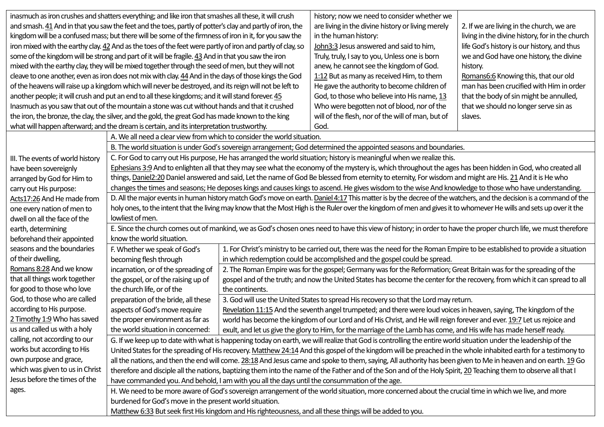| inasmuch as iron crushes and shatters everything; and like iron that smashes all these, it will crush      |                                                                                                                                                                     |                                                                                                                     | history; now we need to consider whether we                                                                       |                                                 |  |  |  |
|------------------------------------------------------------------------------------------------------------|---------------------------------------------------------------------------------------------------------------------------------------------------------------------|---------------------------------------------------------------------------------------------------------------------|-------------------------------------------------------------------------------------------------------------------|-------------------------------------------------|--|--|--|
| and smash. 41 And in that you saw the feet and the toes, partly of potter's clay and partly of iron, the   |                                                                                                                                                                     |                                                                                                                     | are living in the divine history or living merely                                                                 | 2. If we are living in the church, we are       |  |  |  |
| kingdom will be a confused mass; but there will be some of the firmness of iron in it, for you saw the     |                                                                                                                                                                     |                                                                                                                     | in the human history:                                                                                             | living in the divine history, for in the church |  |  |  |
| iron mixed with the earthy clay. 42 And as the toes of the feet were partly of iron and partly of clay, so |                                                                                                                                                                     |                                                                                                                     | John3:3 Jesus answered and said to him,                                                                           | life God's history is our history, and thus     |  |  |  |
| some of the kingdom will be strong and part of it will be fragile. 43 And in that you saw the iron         |                                                                                                                                                                     |                                                                                                                     | Truly, truly, I say to you, Unless one is born                                                                    | we and God have one history, the divine         |  |  |  |
| mixed with the earthy clay, they will be mixed together through the seed of men, but they will not         |                                                                                                                                                                     |                                                                                                                     | anew, he cannot see the kingdom of God.                                                                           | history.                                        |  |  |  |
| cleave to one another, even as iron does not mix with clay. 44 And in the days of those kings the God      |                                                                                                                                                                     |                                                                                                                     | 1:12 But as many as received Him, to them                                                                         | Romans6:6 Knowing this, that our old            |  |  |  |
| of the heavens will raise up a kingdom which will never be destroyed, and its reign will not be left to    |                                                                                                                                                                     |                                                                                                                     | He gave the authority to become children of                                                                       | man has been crucified with Him in order        |  |  |  |
| another people; it will crush and put an end to all these kingdoms; and it will stand forever. 45          |                                                                                                                                                                     |                                                                                                                     | God, to those who believe into His name, 13                                                                       | that the body of sin might be annulled,         |  |  |  |
|                                                                                                            | Inasmuch as you saw that out of the mountain a stone was cut without hands and that it crushed                                                                      |                                                                                                                     | Who were begotten not of blood, nor of the                                                                        | that we should no longer serve sin as           |  |  |  |
|                                                                                                            | the iron, the bronze, the clay, the silver, and the gold, the great God has made known to the king                                                                  |                                                                                                                     | will of the flesh, nor of the will of man, but of                                                                 | slaves.                                         |  |  |  |
| what will happen afterward; and the dream is certain, and its interpretation trustworthy.                  |                                                                                                                                                                     |                                                                                                                     | God.                                                                                                              |                                                 |  |  |  |
|                                                                                                            | A. We all need a clear view from which to consider the world situation.                                                                                             |                                                                                                                     |                                                                                                                   |                                                 |  |  |  |
|                                                                                                            |                                                                                                                                                                     |                                                                                                                     | B. The world situation is under God's sovereign arrangement; God determined the appointed seasons and boundaries. |                                                 |  |  |  |
| III. The events of world history                                                                           | C. For God to carry out His purpose, He has arranged the world situation; history is meaningful when we realize this.                                               |                                                                                                                     |                                                                                                                   |                                                 |  |  |  |
| have been sovereignly                                                                                      | Ephesians 3:9 And to enlighten all that they may see what the economy of the mystery is, which throughout the ages has been hidden in God, who created all          |                                                                                                                     |                                                                                                                   |                                                 |  |  |  |
| arranged by God for Him to                                                                                 | things, Daniel2:20 Daniel answered and said, Let the name of God Be blessed from eternity to eternity, For wisdom and might are His. 21 And it is He who            |                                                                                                                     |                                                                                                                   |                                                 |  |  |  |
| carry out His purpose:                                                                                     | changes the times and seasons; He deposes kings and causes kings to ascend. He gives wisdom to the wise And knowledge to those who have understanding.              |                                                                                                                     |                                                                                                                   |                                                 |  |  |  |
| Acts17:26 And He made from                                                                                 | D. All the major events in human history match God's move on earth. Daniel 4:17 This matter is by the decree of the watchers, and the decision is a command of the  |                                                                                                                     |                                                                                                                   |                                                 |  |  |  |
| one every nation of men to                                                                                 | holy ones, to the intent that the living may know that the Most High is the Ruler over the kingdom of men and gives it to whomever He wills and sets up over it the |                                                                                                                     |                                                                                                                   |                                                 |  |  |  |
| dwell on all the face of the                                                                               | lowliest of men.                                                                                                                                                    |                                                                                                                     |                                                                                                                   |                                                 |  |  |  |
| earth, determining                                                                                         | E. Since the church comes out of mankind, we as God's chosen ones need to have this view of history; in order to have the proper church life, we must therefore     |                                                                                                                     |                                                                                                                   |                                                 |  |  |  |
| beforehand their appointed                                                                                 | know the world situation.                                                                                                                                           |                                                                                                                     |                                                                                                                   |                                                 |  |  |  |
| seasons and the boundaries                                                                                 | 1. For Christ's ministry to be carried out, there was the need for the Roman Empire to be established to provide a situation<br>F. Whether we speak of God's        |                                                                                                                     |                                                                                                                   |                                                 |  |  |  |
| of their dwelling,                                                                                         | becoming flesh through                                                                                                                                              | in which redemption could be accomplished and the gospel could be spread.                                           |                                                                                                                   |                                                 |  |  |  |
| Romans 8:28 And we know                                                                                    | incarnation, or of the spreading of                                                                                                                                 | 2. The Roman Empire was for the gospel; Germany was for the Reformation; Great Britain was for the spreading of the |                                                                                                                   |                                                 |  |  |  |
| that all things work together                                                                              | the gospel, or of the raising up of<br>gospel and of the truth; and now the United States has become the center for the recovery, from which it can spread to all   |                                                                                                                     |                                                                                                                   |                                                 |  |  |  |
| for good to those who love                                                                                 | the church life, or of the<br>the continents.                                                                                                                       |                                                                                                                     |                                                                                                                   |                                                 |  |  |  |
| God, to those who are called                                                                               | preparation of the bride, all these<br>3. God will use the United States to spread His recovery so that the Lord may return.                                        |                                                                                                                     |                                                                                                                   |                                                 |  |  |  |
| according to His purpose.                                                                                  | aspects of God's move require<br>Revelation 11:15 And the seventh angel trumpeted; and there were loud voices in heaven, saying, The kingdom of the                 |                                                                                                                     |                                                                                                                   |                                                 |  |  |  |
| 2 Timothy 1:9 Who has saved                                                                                | the proper environment as far as<br>world has become the kingdom of our Lord and of His Christ, and He will reign forever and ever. 19:7 Let us rejoice and         |                                                                                                                     |                                                                                                                   |                                                 |  |  |  |
| us and called us with a holy                                                                               | the world situation in concerned:<br>exult, and let us give the glory to Him, for the marriage of the Lamb has come, and His wife has made herself ready.           |                                                                                                                     |                                                                                                                   |                                                 |  |  |  |
| calling, not according to our                                                                              | G. If we keep up to date with what is happening today on earth, we will realize that God is controlling the entire world situation under the leadership of the      |                                                                                                                     |                                                                                                                   |                                                 |  |  |  |
| works but according to His                                                                                 | United States for the spreading of His recovery. Matthew 24:14 And this gospel of the kingdom will be preached in the whole inhabited earth for a testimony to      |                                                                                                                     |                                                                                                                   |                                                 |  |  |  |
| own purpose and grace,                                                                                     | all the nations, and then the end will come. 28:18 And Jesus came and spoke to them, saying, All authority has been given to Me in heaven and on earth. 19 Go       |                                                                                                                     |                                                                                                                   |                                                 |  |  |  |
| which was given to us in Christ                                                                            | therefore and disciple all the nations, baptizing them into the name of the Father and of the Son and of the Holy Spirit, 20 Teaching them to observe all that I    |                                                                                                                     |                                                                                                                   |                                                 |  |  |  |
| Jesus before the times of the                                                                              | have commanded you. And behold, I am with you all the days until the consummation of the age.                                                                       |                                                                                                                     |                                                                                                                   |                                                 |  |  |  |
| ages.                                                                                                      | H. We need to be more aware of God's sovereign arrangement of the world situation, more concerned about the crucial time in which we live, and more                 |                                                                                                                     |                                                                                                                   |                                                 |  |  |  |
|                                                                                                            | burdened for God's move in the present world situation.                                                                                                             |                                                                                                                     |                                                                                                                   |                                                 |  |  |  |
|                                                                                                            | Matthew 6:33 But seek first His kingdom and His righteousness, and all these things will be added to you.                                                           |                                                                                                                     |                                                                                                                   |                                                 |  |  |  |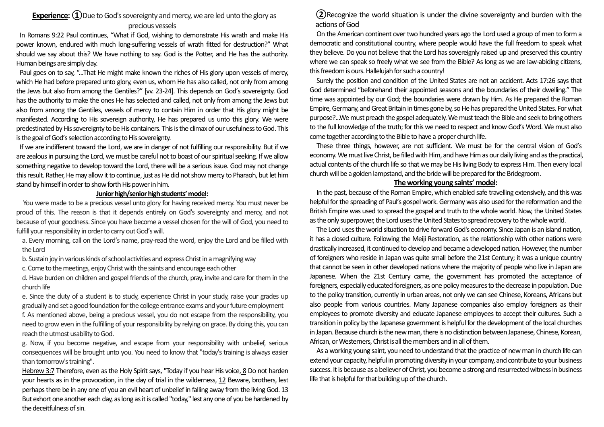# **Experience:** (1) Due to God's sovereignty and mercy, we are led unto the glory as precious vessels

In Romans 9:22 Paul continues, "What if God, wishing to demonstrate His wrath and make His power known, endured with much long-suffering vessels of wrath fitted for destruction?" What should we say about this? We have nothing to say. God is the Potter, and He has the authority. Human beings are simply clay.

Paul goes on to say, "...That He might make known the riches of His glory upon vessels of mercy, which He had before prepared unto glory, even us, whom He has also called, not only from among the Jews but also from among the Gentiles?" [vv. 23-24]. This depends on God's sovereignty. God has the authority to make the ones He has selected and called, not only from among the Jews but also from among the Gentiles, vessels of mercy to contain Him in order that His glory might be manifested. According to His sovereign authority, He has prepared us unto this glory. We were predestinated by His sovereignty to be His containers. This is the climax of our usefulness to God. This is the goal of God's selection according to His sovereignty.

If we are indifferent toward the Lord, we are in danger of not fulfilling our responsibility. But if we are zealous in pursuing the Lord, we must be careful not to boast of our spiritual seeking. If we allow something negative to develop toward the Lord, there will be a serious issue. God may not change this result. Rather, He may allow it to continue, just as He did not show mercy to Pharaoh, but let him stand by himself in order to show forth His power in him.

#### **Junior high/senior high students' model:**

You were made to be a precious vessel unto glory for having received mercy. You must never be proud of this. The reason is that it depends entirely on God's sovereignty and mercy, and not because of your goodness. Since you have become a vessel chosen for the will of God, you need to fulfill your responsibility in order to carry out God's will.

a. Every morning, call on the Lord's name, pray-read the word, enjoy the Lord and be filled with the Lord

b. Sustain joy in various kinds of school activities and express Christ in a magnifying way

c. Come to the meetings, enjoy Christ with the saints and encourage each other

d. Have burden on children and gospel friends of the church, pray, invite and care for them in the church life

e. Since the duty of a student is to study, experience Christ in your study, raise your grades up gradually and set a good foundation for the college entrance exams and your future employment

f. As mentioned above, being a precious vessel, you do not escape from the responsibility, you need to grow even in the fulfilling of your responsibility by relying on grace. By doing this, you can reach the utmost usability to God.

g. Now, if you become negative, and escape from your responsibility with unbelief, serious consequences will be brought unto you. You need to know that "today's training is always easier than tomorrow's training".

Hebrew 3:7 Therefore, even as the Holy Spirit says, "Today if you hear His voice, 8 Do not harden your hearts as in the provocation, in the day of trial in the wilderness, 12 Beware, brothers, lest perhaps there be in any one of you an evil heart of unbelief in falling away from the living God. 13 But exhort one another each day, as long as it is called "today,'' lest any one of you be hardened by the deceitfulness of sin.

### **②**Recognize the world situation is under the divine sovereignty and burden with the actions of God

On the American continent over two hundred years ago the Lord used a group of men to form a democratic and constitutional country, where people would have the full freedom to speak what they believe. Do you not believe that the Lord has sovereignly raised up and preserved this country where we can speak so freely what we see from the Bible? As long as we are law-abiding citizens, this freedom is ours. Hallelujah for such a country!

Surely the position and condition of the United States are not an accident. Acts 17:26 says that God determined "beforehand their appointed seasons and the boundaries of their dwelling." The time was appointed by our God; the boundaries were drawn by Him. As He prepared the Roman Empire, Germany, and Great Britain in times gone by, so He has prepared the United States. For what purpose?...We must preach the gospel adequately. We must teach the Bible and seek to bring others to the full knowledge of the truth; for this we need to respect and know God's Word. We must also come together according to the Bible to have a proper church life.

These three things, however, are not sufficient. We must be for the central vision of God's economy. We must live Christ, be filled with Him, and have Him as our daily living and as the practical, actual contents of the church life so that we may be His living Body to express Him. Then every local church will be a golden lampstand, and the bride will be prepared for the Bridegroom.

#### **The working young saints' model:**

In the past, because of the Roman Empire, which enabled safe travelling extensively, and this was helpful for the spreading of Paul's gospel work. Germany was also used for the reformation and the British Empire was used to spread the gospel and truth to the whole world. Now, the United States as the only superpower, the Lord uses the United States to spread recovery to the whole world.

The Lord uses the world situation to drive forwardGod's economy. Since Japan is an island nation, it has a closed culture. Following the Meiji Restoration, as the relationship with other nations were drastically increased, it continued to develop and became a developed nation. However, the number of foreigners who reside in Japan was quite small before the 21st Century; it was a unique country that cannot be seen in other developed nations where the majority of people who live in Japan are Japanese. When the 21st Century came, the government has promoted the acceptance of foreigners, especially educated foreigners, as one policy measures to the decrease in population. Due to the policy transition, currently in urban areas, not only we can see Chinese, Koreans, Africans but also people from various countries. Many Japanese companies also employ foreigners as their employees to promote diversity and educate Japanese employees to accept their cultures. Such a transition in policy by the Japanese government is helpful for the development of the local churches in Japan. Because church is the new man, there is no distinction between Japanese, Chinese, Korean, African, or Westerners, Christ is all the members and in all of them.

As a working young saint, you need to understand that the practice of new man in church life can extend your capacity, helpful in promoting diversity in your company, and contribute to your business success. It is because as a believer of Christ, you become a strong and resurrected witness in business life that is helpful for that building up of the church.